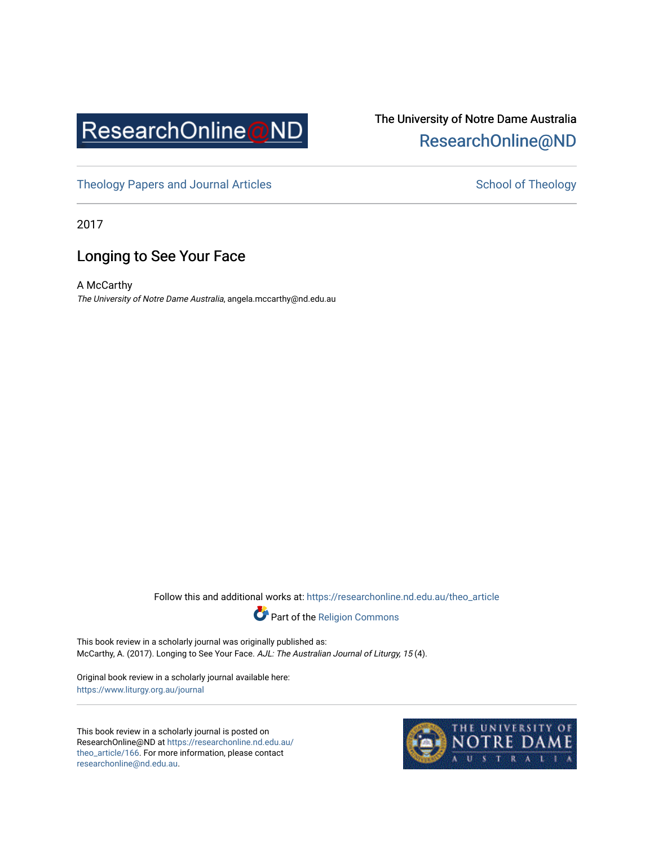

## The University of Notre Dame Australia [ResearchOnline@ND](https://researchonline.nd.edu.au/)

[Theology Papers and Journal Articles](https://researchonline.nd.edu.au/theo_article) and [School of Theology](https://researchonline.nd.edu.au/theo) School of Theology

2017

## Longing to See Your Face

A McCarthy The University of Notre Dame Australia, angela.mccarthy@nd.edu.au

Follow this and additional works at: [https://researchonline.nd.edu.au/theo\\_article](https://researchonline.nd.edu.au/theo_article?utm_source=researchonline.nd.edu.au%2Ftheo_article%2F166&utm_medium=PDF&utm_campaign=PDFCoverPages) 



This book review in a scholarly journal was originally published as: McCarthy, A. (2017). Longing to See Your Face. AJL: The Australian Journal of Liturgy, 15 (4).

Original book review in a scholarly journal available here: <https://www.liturgy.org.au/journal>

This book review in a scholarly journal is posted on ResearchOnline@ND at [https://researchonline.nd.edu.au/](https://researchonline.nd.edu.au/theo_article/166) [theo\\_article/166](https://researchonline.nd.edu.au/theo_article/166). For more information, please contact [researchonline@nd.edu.au.](mailto:researchonline@nd.edu.au)

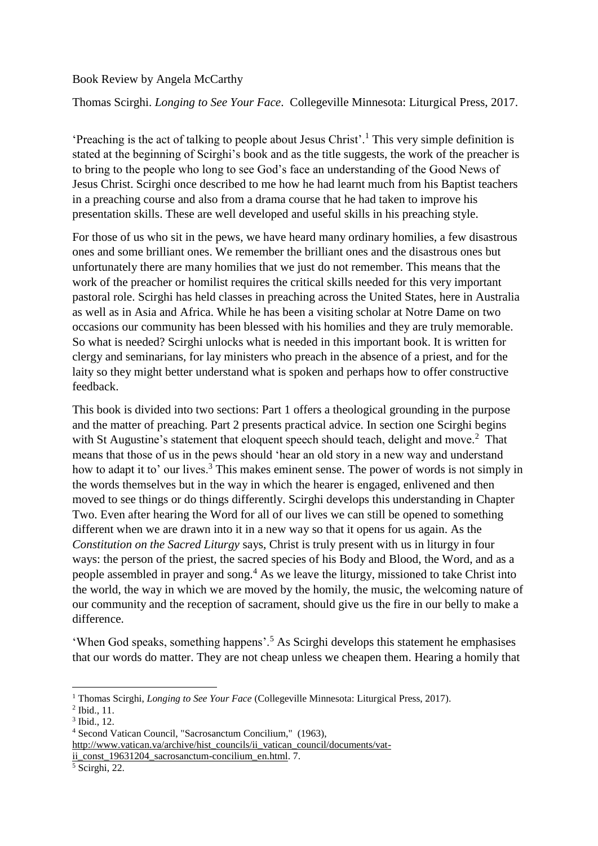## Book Review by Angela McCarthy

Thomas Scirghi. *Longing to See Your Face*. Collegeville Minnesota: Liturgical Press, 2017.

'Preaching is the act of talking to people about Jesus Christ'.<sup>1</sup> This very simple definition is stated at the beginning of Scirghi's book and as the title suggests, the work of the preacher is to bring to the people who long to see God's face an understanding of the Good News of Jesus Christ. Scirghi once described to me how he had learnt much from his Baptist teachers in a preaching course and also from a drama course that he had taken to improve his presentation skills. These are well developed and useful skills in his preaching style.

For those of us who sit in the pews, we have heard many ordinary homilies, a few disastrous ones and some brilliant ones. We remember the brilliant ones and the disastrous ones but unfortunately there are many homilies that we just do not remember. This means that the work of the preacher or homilist requires the critical skills needed for this very important pastoral role. Scirghi has held classes in preaching across the United States, here in Australia as well as in Asia and Africa. While he has been a visiting scholar at Notre Dame on two occasions our community has been blessed with his homilies and they are truly memorable. So what is needed? Scirghi unlocks what is needed in this important book. It is written for clergy and seminarians, for lay ministers who preach in the absence of a priest, and for the laity so they might better understand what is spoken and perhaps how to offer constructive feedback.

This book is divided into two sections: Part 1 offers a theological grounding in the purpose and the matter of preaching. Part 2 presents practical advice. In section one Scirghi begins with St Augustine's statement that eloquent speech should teach, delight and move.<sup>2</sup> That means that those of us in the pews should 'hear an old story in a new way and understand how to adapt it to' our lives.<sup>3</sup> This makes eminent sense. The power of words is not simply in the words themselves but in the way in which the hearer is engaged, enlivened and then moved to see things or do things differently. Scirghi develops this understanding in Chapter Two. Even after hearing the Word for all of our lives we can still be opened to something different when we are drawn into it in a new way so that it opens for us again. As the *Constitution on the Sacred Liturgy* says, Christ is truly present with us in liturgy in four ways: the person of the priest, the sacred species of his Body and Blood, the Word, and as a people assembled in prayer and song.<sup>4</sup> As we leave the liturgy, missioned to take Christ into the world, the way in which we are moved by the homily, the music, the welcoming nature of our community and the reception of sacrament, should give us the fire in our belly to make a difference.

'When God speaks, something happens'.<sup>5</sup> As Scirghi develops this statement he emphasises that our words do matter. They are not cheap unless we cheapen them. Hearing a homily that

**.** 

<sup>1</sup> Thomas Scirghi, *Longing to See Your Face* (Collegeville Minnesota: Liturgical Press, 2017).

<sup>2</sup> Ibid., 11.

<sup>3</sup> Ibid., 12.

<sup>4</sup> Second Vatican Council, "Sacrosanctum Concilium," (1963), http://www.vatican.va/archive/hist\_councils/ii\_vatican\_council/documents/vat-

ii const 19631204 sacrosanctum-concilium en.html. 7.

 $<sup>5</sup>$  Scirghi, 22.</sup>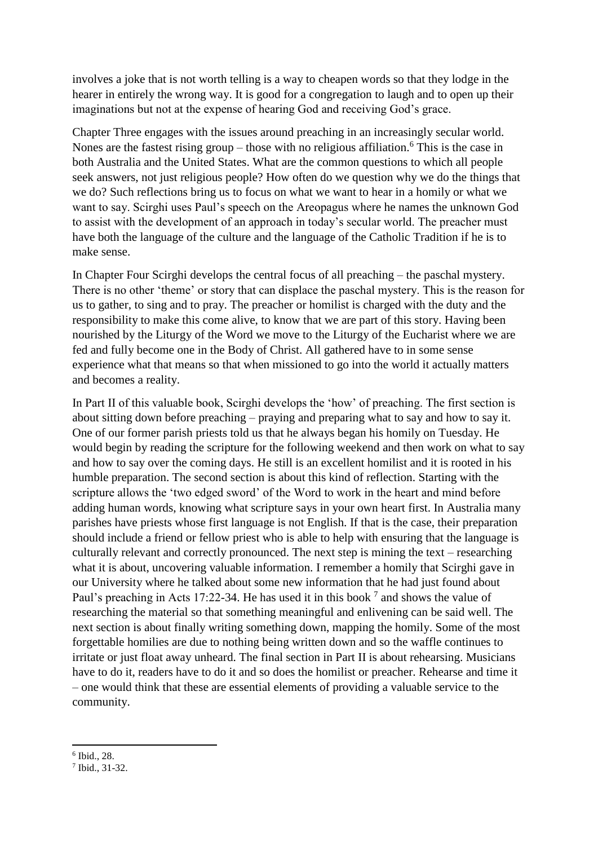involves a joke that is not worth telling is a way to cheapen words so that they lodge in the hearer in entirely the wrong way. It is good for a congregation to laugh and to open up their imaginations but not at the expense of hearing God and receiving God's grace.

Chapter Three engages with the issues around preaching in an increasingly secular world. Nones are the fastest rising group – those with no religious affiliation.<sup>6</sup> This is the case in both Australia and the United States. What are the common questions to which all people seek answers, not just religious people? How often do we question why we do the things that we do? Such reflections bring us to focus on what we want to hear in a homily or what we want to say. Scirghi uses Paul's speech on the Areopagus where he names the unknown God to assist with the development of an approach in today's secular world. The preacher must have both the language of the culture and the language of the Catholic Tradition if he is to make sense.

In Chapter Four Scirghi develops the central focus of all preaching – the paschal mystery. There is no other 'theme' or story that can displace the paschal mystery. This is the reason for us to gather, to sing and to pray. The preacher or homilist is charged with the duty and the responsibility to make this come alive, to know that we are part of this story. Having been nourished by the Liturgy of the Word we move to the Liturgy of the Eucharist where we are fed and fully become one in the Body of Christ. All gathered have to in some sense experience what that means so that when missioned to go into the world it actually matters and becomes a reality.

In Part II of this valuable book, Scirghi develops the 'how' of preaching. The first section is about sitting down before preaching – praying and preparing what to say and how to say it. One of our former parish priests told us that he always began his homily on Tuesday. He would begin by reading the scripture for the following weekend and then work on what to say and how to say over the coming days. He still is an excellent homilist and it is rooted in his humble preparation. The second section is about this kind of reflection. Starting with the scripture allows the 'two edged sword' of the Word to work in the heart and mind before adding human words, knowing what scripture says in your own heart first. In Australia many parishes have priests whose first language is not English. If that is the case, their preparation should include a friend or fellow priest who is able to help with ensuring that the language is culturally relevant and correctly pronounced. The next step is mining the text – researching what it is about, uncovering valuable information. I remember a homily that Scirghi gave in our University where he talked about some new information that he had just found about Paul's preaching in Acts 17:22-34. He has used it in this book  $^7$  and shows the value of researching the material so that something meaningful and enlivening can be said well. The next section is about finally writing something down, mapping the homily. Some of the most forgettable homilies are due to nothing being written down and so the waffle continues to irritate or just float away unheard. The final section in Part II is about rehearsing. Musicians have to do it, readers have to do it and so does the homilist or preacher. Rehearse and time it – one would think that these are essential elements of providing a valuable service to the community.

**.** 

<sup>6</sup> Ibid., 28.

<sup>7</sup> Ibid., 31-32.